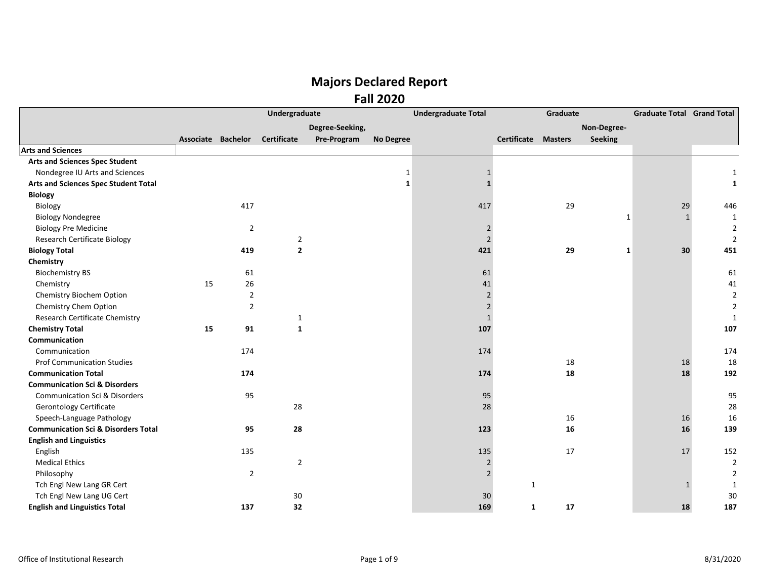|                                                |                    |                | Undergraduate      | <b>Undergraduate Total</b> |                  |                | Graduate     |                |             | <b>Graduate Total Grand Total</b> |                |
|------------------------------------------------|--------------------|----------------|--------------------|----------------------------|------------------|----------------|--------------|----------------|-------------|-----------------------------------|----------------|
|                                                |                    |                |                    | Degree-Seeking,            |                  |                |              |                | Non-Degree- |                                   |                |
|                                                | Associate Bachelor |                | <b>Certificate</b> | Pre-Program                | <b>No Degree</b> |                | Certificate  | <b>Masters</b> | Seeking     |                                   |                |
| <b>Arts and Sciences</b>                       |                    |                |                    |                            |                  |                |              |                |             |                                   |                |
| <b>Arts and Sciences Spec Student</b>          |                    |                |                    |                            |                  |                |              |                |             |                                   |                |
| Nondegree IU Arts and Sciences                 |                    |                |                    |                            | 1                | $\mathbf{1}$   |              |                |             |                                   |                |
| Arts and Sciences Spec Student Total           |                    |                |                    |                            | 1                | $\mathbf{1}$   |              |                |             |                                   |                |
| <b>Biology</b>                                 |                    |                |                    |                            |                  |                |              |                |             |                                   |                |
| Biology                                        |                    | 417            |                    |                            |                  | 417            |              | 29             |             | 29                                | 446            |
| <b>Biology Nondegree</b>                       |                    |                |                    |                            |                  |                |              |                | 1           | $\mathbf{1}$                      | 1              |
| <b>Biology Pre Medicine</b>                    |                    | $\overline{2}$ |                    |                            |                  | $\overline{2}$ |              |                |             |                                   | $\overline{2}$ |
| <b>Research Certificate Biology</b>            |                    |                | $\overline{2}$     |                            |                  | $\overline{2}$ |              |                |             |                                   | $\overline{2}$ |
| <b>Biology Total</b>                           |                    | 419            | $\mathbf{2}$       |                            |                  | 421            |              | 29             | 1           | 30                                | 451            |
| Chemistry                                      |                    |                |                    |                            |                  |                |              |                |             |                                   |                |
| <b>Biochemistry BS</b>                         |                    | 61             |                    |                            |                  | 61             |              |                |             |                                   | 61             |
| Chemistry                                      | 15                 | 26             |                    |                            |                  | 41             |              |                |             |                                   | 41             |
| Chemistry Biochem Option                       |                    | $\overline{2}$ |                    |                            |                  | $\overline{2}$ |              |                |             |                                   | $\overline{2}$ |
| Chemistry Chem Option                          |                    | $\mathbf 2$    |                    |                            |                  | $\overline{2}$ |              |                |             |                                   | 2              |
| Research Certificate Chemistry                 |                    |                | $\mathbf{1}$       |                            |                  | $\mathbf{1}$   |              |                |             |                                   | $\mathbf{1}$   |
| <b>Chemistry Total</b>                         | 15                 | 91             | $\mathbf{1}$       |                            |                  | 107            |              |                |             |                                   | 107            |
| Communication                                  |                    |                |                    |                            |                  |                |              |                |             |                                   |                |
| Communication                                  |                    | 174            |                    |                            |                  | 174            |              |                |             |                                   | 174            |
| <b>Prof Communication Studies</b>              |                    |                |                    |                            |                  |                |              | 18             |             | 18                                | 18             |
| <b>Communication Total</b>                     |                    | 174            |                    |                            |                  | 174            |              | 18             |             | 18                                | 192            |
| <b>Communication Sci &amp; Disorders</b>       |                    |                |                    |                            |                  |                |              |                |             |                                   |                |
| <b>Communication Sci &amp; Disorders</b>       |                    | 95             |                    |                            |                  | 95             |              |                |             |                                   | 95             |
| Gerontology Certificate                        |                    |                | 28                 |                            |                  | 28             |              |                |             |                                   | 28             |
| Speech-Language Pathology                      |                    |                |                    |                            |                  |                |              | 16             |             | 16                                | 16             |
| <b>Communication Sci &amp; Disorders Total</b> |                    | 95             | 28                 |                            |                  | 123            |              | 16             |             | 16                                | 139            |
| <b>English and Linguistics</b>                 |                    |                |                    |                            |                  |                |              |                |             |                                   |                |
| English                                        |                    | 135            |                    |                            |                  | 135            |              | 17             |             | 17                                | 152            |
| <b>Medical Ethics</b>                          |                    |                | $\overline{2}$     |                            |                  | $\overline{2}$ |              |                |             |                                   | $\overline{2}$ |
| Philosophy                                     |                    | $\overline{2}$ |                    |                            |                  | $\overline{2}$ |              |                |             |                                   | 2              |
| Tch Engl New Lang GR Cert                      |                    |                |                    |                            |                  |                | $\mathbf{1}$ |                |             |                                   | 1              |
| Tch Engl New Lang UG Cert                      |                    |                | 30                 |                            |                  | 30             |              |                |             |                                   | 30             |
| <b>English and Linguistics Total</b>           |                    | 137            | 32                 |                            |                  | 169            | 1            | 17             |             | 18                                | 187            |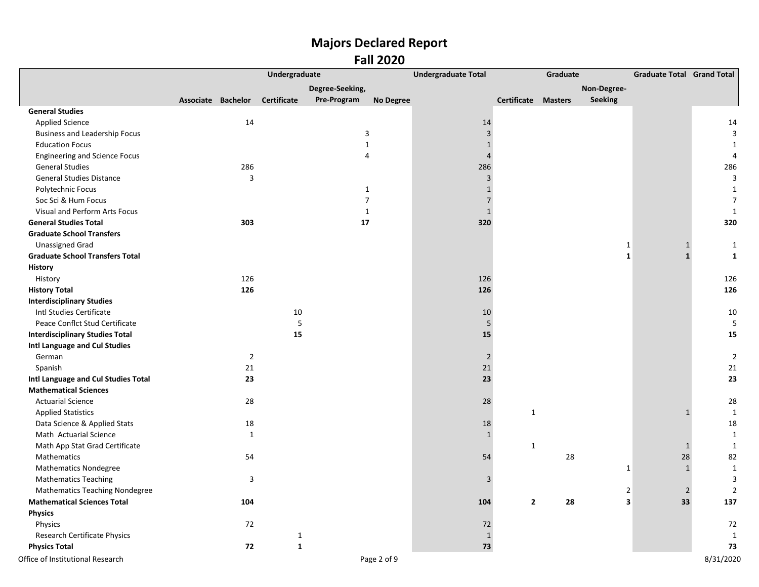|                                        | Undergraduate      |                |              |                 |                  | <b>Undergraduate Total</b> |                            | Graduate | <b>Graduate Total Grand Total</b> |                |                |
|----------------------------------------|--------------------|----------------|--------------|-----------------|------------------|----------------------------|----------------------------|----------|-----------------------------------|----------------|----------------|
|                                        |                    |                |              | Degree-Seeking, |                  |                            |                            |          | Non-Degree-                       |                |                |
|                                        | Associate Bachelor |                | Certificate  | Pre-Program     | <b>No Degree</b> |                            | <b>Certificate Masters</b> |          | Seeking                           |                |                |
| <b>General Studies</b>                 |                    |                |              |                 |                  |                            |                            |          |                                   |                |                |
| <b>Applied Science</b>                 |                    | 14             |              |                 |                  | 14                         |                            |          |                                   |                | 14             |
| <b>Business and Leadership Focus</b>   |                    |                |              |                 | $\mathsf 3$      | $\overline{\mathbf{3}}$    |                            |          |                                   |                | $\mathbf{3}$   |
| <b>Education Focus</b>                 |                    |                |              |                 | $\mathbf{1}$     | $\mathbf{1}$               |                            |          |                                   |                | 1              |
| <b>Engineering and Science Focus</b>   |                    |                |              |                 | 4                | $\overline{4}$             |                            |          |                                   |                | 4              |
| <b>General Studies</b>                 |                    | 286            |              |                 |                  | 286                        |                            |          |                                   |                | 286            |
| <b>General Studies Distance</b>        |                    | 3              |              |                 |                  | $\overline{3}$             |                            |          |                                   |                | $\mathbf{3}$   |
| Polytechnic Focus                      |                    |                |              |                 | $\mathbf{1}$     | $\mathbf{1}$               |                            |          |                                   |                | $\mathbf{1}$   |
| Soc Sci & Hum Focus                    |                    |                |              |                 | $\overline{7}$   | $\sqrt{ }$                 |                            |          |                                   |                | $\overline{7}$ |
| Visual and Perform Arts Focus          |                    |                |              |                 | $\mathbf{1}$     | $1\,$                      |                            |          |                                   |                | $\mathbf{1}$   |
| <b>General Studies Total</b>           |                    | 303            |              | 17              |                  | 320                        |                            |          |                                   |                | 320            |
| <b>Graduate School Transfers</b>       |                    |                |              |                 |                  |                            |                            |          |                                   |                |                |
| <b>Unassigned Grad</b>                 |                    |                |              |                 |                  |                            |                            |          | $\mathbf{1}$                      | $\mathbf{1}$   | $\mathbf{1}$   |
| <b>Graduate School Transfers Total</b> |                    |                |              |                 |                  |                            |                            |          | $\mathbf{1}$                      | $\mathbf{1}$   | $\mathbf{1}$   |
| <b>History</b>                         |                    |                |              |                 |                  |                            |                            |          |                                   |                |                |
| History                                |                    | 126            |              |                 |                  | 126                        |                            |          |                                   |                | 126            |
| <b>History Total</b>                   |                    | 126            |              |                 |                  | 126                        |                            |          |                                   |                | 126            |
| <b>Interdisciplinary Studies</b>       |                    |                |              |                 |                  |                            |                            |          |                                   |                |                |
| Intl Studies Certificate               |                    |                | 10           |                 |                  | 10                         |                            |          |                                   |                | 10             |
| Peace Conflct Stud Certificate         |                    |                | 5            |                 |                  | 5                          |                            |          |                                   |                | 5              |
| <b>Interdisciplinary Studies Total</b> |                    |                | 15           |                 |                  | 15                         |                            |          |                                   |                | 15             |
| Intl Language and Cul Studies          |                    |                |              |                 |                  |                            |                            |          |                                   |                |                |
| German                                 |                    | $\overline{2}$ |              |                 |                  | $\overline{2}$             |                            |          |                                   |                | $\overline{2}$ |
| Spanish                                |                    | 21             |              |                 |                  | 21                         |                            |          |                                   |                | 21             |
| Intl Language and Cul Studies Total    |                    | 23             |              |                 |                  | 23                         |                            |          |                                   |                | 23             |
| <b>Mathematical Sciences</b>           |                    |                |              |                 |                  |                            |                            |          |                                   |                |                |
| <b>Actuarial Science</b>               |                    | 28             |              |                 |                  | 28                         |                            |          |                                   |                | 28             |
| <b>Applied Statistics</b>              |                    |                |              |                 |                  |                            | $\mathbf{1}$               |          |                                   | $\mathbf{1}$   | $\mathbf{1}$   |
| Data Science & Applied Stats           |                    | 18             |              |                 |                  | 18                         |                            |          |                                   |                | 18             |
| Math Actuarial Science                 |                    | $\mathbf{1}$   |              |                 |                  | $\mathbf{1}$               |                            |          |                                   |                | $\mathbf{1}$   |
| Math App Stat Grad Certificate         |                    |                |              |                 |                  |                            | $\mathbf{1}$               |          |                                   | $\mathbf{1}$   | $\mathbf{1}$   |
| Mathematics                            |                    | 54             |              |                 |                  | 54                         |                            | 28       |                                   | 28             | 82             |
| <b>Mathematics Nondegree</b>           |                    |                |              |                 |                  |                            |                            |          | $\mathbf{1}$                      | $\mathbf 1$    | $\mathbf{1}$   |
| <b>Mathematics Teaching</b>            |                    | $\overline{3}$ |              |                 |                  | $\mathsf{3}$               |                            |          |                                   |                | 3              |
| <b>Mathematics Teaching Nondegree</b>  |                    |                |              |                 |                  |                            |                            |          | $\overline{2}$                    | $\overline{2}$ | $\overline{2}$ |
| <b>Mathematical Sciences Total</b>     |                    | 104            |              |                 |                  | 104                        | $\overline{2}$             | 28       | 3                                 | 33             | 137            |
| <b>Physics</b>                         |                    |                |              |                 |                  |                            |                            |          |                                   |                |                |
| Physics                                |                    | 72             |              |                 |                  | 72                         |                            |          |                                   |                | 72             |
| <b>Research Certificate Physics</b>    |                    |                | $\mathbf{1}$ |                 |                  | $\mathbf{1}$               |                            |          |                                   |                | 1              |
| <b>Physics Total</b>                   |                    | 72             | $\mathbf{1}$ |                 |                  | 73                         |                            |          |                                   |                | 73             |
| Office of Institutional Research       |                    |                |              |                 | Page 2 of 9      |                            |                            |          |                                   |                | 8/31/2020      |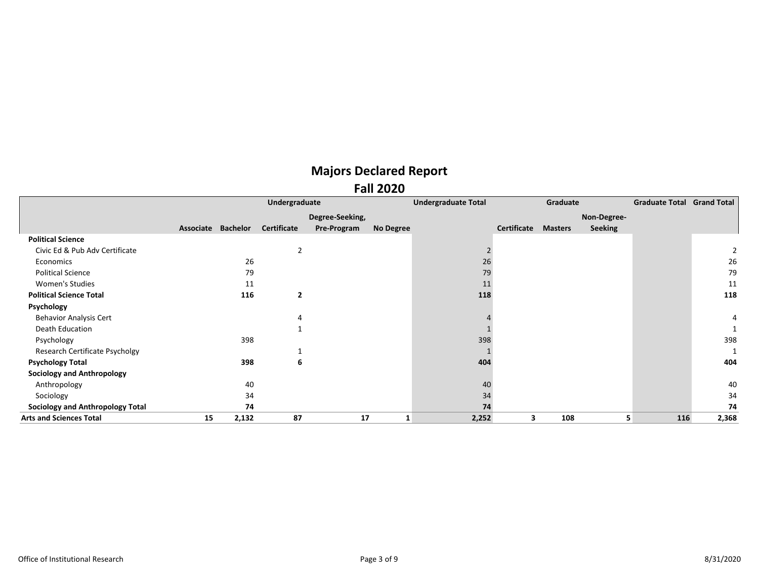|                                         |           |                 | Undergraduate      |                 |                  | <b>Undergraduate Total</b> |             | Graduate       |                | <b>Graduate Total Grand Total</b> |       |
|-----------------------------------------|-----------|-----------------|--------------------|-----------------|------------------|----------------------------|-------------|----------------|----------------|-----------------------------------|-------|
|                                         |           |                 |                    | Degree-Seeking, |                  |                            |             |                | Non-Degree-    |                                   |       |
|                                         | Associate | <b>Bachelor</b> | <b>Certificate</b> | Pre-Program     | <b>No Degree</b> |                            | Certificate | <b>Masters</b> | <b>Seeking</b> |                                   |       |
| <b>Political Science</b>                |           |                 |                    |                 |                  |                            |             |                |                |                                   |       |
| Civic Ed & Pub Adv Certificate          |           |                 | $\overline{2}$     |                 |                  |                            |             |                |                |                                   |       |
| Economics                               |           | 26              |                    |                 |                  | 26                         |             |                |                |                                   | 26    |
| <b>Political Science</b>                |           | 79              |                    |                 |                  | 79                         |             |                |                |                                   | 79    |
| Women's Studies                         |           | 11              |                    |                 |                  | 11                         |             |                |                |                                   | 11    |
| <b>Political Science Total</b>          |           | 116             | 2                  |                 |                  | 118                        |             |                |                |                                   | 118   |
| Psychology                              |           |                 |                    |                 |                  |                            |             |                |                |                                   |       |
| <b>Behavior Analysis Cert</b>           |           |                 | 4                  |                 |                  |                            |             |                |                |                                   |       |
| Death Education                         |           |                 |                    |                 |                  |                            |             |                |                |                                   |       |
| Psychology                              |           | 398             |                    |                 |                  | 398                        |             |                |                |                                   | 398   |
| Research Certificate Psycholgy          |           |                 |                    |                 |                  |                            |             |                |                |                                   |       |
| <b>Psychology Total</b>                 |           | 398             | 6                  |                 |                  | 404                        |             |                |                |                                   | 404   |
| <b>Sociology and Anthropology</b>       |           |                 |                    |                 |                  |                            |             |                |                |                                   |       |
| Anthropology                            |           | 40              |                    |                 |                  | 40                         |             |                |                |                                   | 40    |
| Sociology                               |           | 34              |                    |                 |                  | 34                         |             |                |                |                                   | 34    |
| <b>Sociology and Anthropology Total</b> |           | 74              |                    |                 |                  | 74                         |             |                |                |                                   | 74    |
| <b>Arts and Sciences Total</b>          | 15        | 2,132           | 87                 | 17              | 1                | 2,252                      |             | 108            |                | 116                               | 2,368 |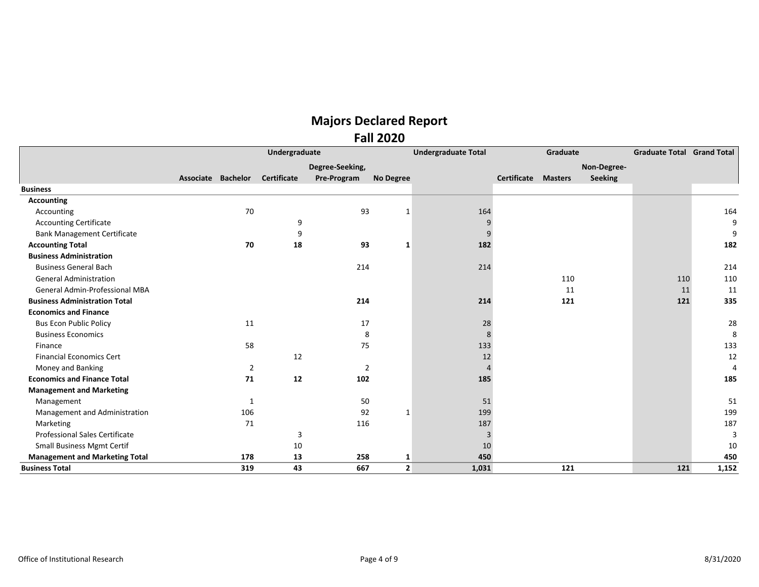|                                       | Undergraduate      |                |             |                 |                | <b>Undergraduate Total</b><br>Graduate |             |                |                | <b>Graduate Total</b> | <b>Grand Total</b> |
|---------------------------------------|--------------------|----------------|-------------|-----------------|----------------|----------------------------------------|-------------|----------------|----------------|-----------------------|--------------------|
|                                       |                    |                |             | Degree-Seeking, |                |                                        |             |                | Non-Degree-    |                       |                    |
|                                       | Associate Bachelor |                | Certificate | Pre-Program     | No Degree      |                                        | Certificate | <b>Masters</b> | <b>Seeking</b> |                       |                    |
| <b>Business</b>                       |                    |                |             |                 |                |                                        |             |                |                |                       |                    |
| <b>Accounting</b>                     |                    |                |             |                 |                |                                        |             |                |                |                       |                    |
| Accounting                            |                    | 70             |             | 93              | 1              | 164                                    |             |                |                |                       | 164                |
| <b>Accounting Certificate</b>         |                    |                | 9           |                 |                | 9                                      |             |                |                |                       | 9                  |
| <b>Bank Management Certificate</b>    |                    |                | 9           |                 |                | 9                                      |             |                |                |                       | 9                  |
| <b>Accounting Total</b>               |                    | 70             | 18          | 93              | 1              | 182                                    |             |                |                |                       | 182                |
| <b>Business Administration</b>        |                    |                |             |                 |                |                                        |             |                |                |                       |                    |
| <b>Business General Bach</b>          |                    |                |             | 214             |                | 214                                    |             |                |                |                       | 214                |
| <b>General Administration</b>         |                    |                |             |                 |                |                                        |             | 110            |                | 110                   | 110                |
| <b>General Admin-Professional MBA</b> |                    |                |             |                 |                |                                        |             | 11             |                | 11                    | 11                 |
| <b>Business Administration Total</b>  |                    |                |             | 214             |                | 214                                    |             | 121            |                | 121                   | 335                |
| <b>Economics and Finance</b>          |                    |                |             |                 |                |                                        |             |                |                |                       |                    |
| <b>Bus Econ Public Policy</b>         |                    | 11             |             | 17              |                | 28                                     |             |                |                |                       | 28                 |
| <b>Business Economics</b>             |                    |                |             | 8               |                | 8                                      |             |                |                |                       | 8                  |
| Finance                               |                    | 58             |             | 75              |                | 133                                    |             |                |                |                       | 133                |
| <b>Financial Economics Cert</b>       |                    |                | 12          |                 |                | 12                                     |             |                |                |                       | 12                 |
| Money and Banking                     |                    | $\overline{2}$ |             | 2               |                | $\Delta$                               |             |                |                |                       | 4                  |
| <b>Economics and Finance Total</b>    |                    | 71             | 12          | 102             |                | 185                                    |             |                |                |                       | 185                |
| <b>Management and Marketing</b>       |                    |                |             |                 |                |                                        |             |                |                |                       |                    |
| Management                            |                    | 1              |             | 50              |                | 51                                     |             |                |                |                       | 51                 |
| Management and Administration         |                    | 106            |             | 92              | 1              | 199                                    |             |                |                |                       | 199                |
| Marketing                             |                    | 71             |             | 116             |                | 187                                    |             |                |                |                       | 187                |
| Professional Sales Certificate        |                    |                | 3           |                 |                | 3                                      |             |                |                |                       | 3                  |
| <b>Small Business Mgmt Certif</b>     |                    |                | 10          |                 |                | 10                                     |             |                |                |                       | 10                 |
| <b>Management and Marketing Total</b> |                    | 178            | 13          | 258             | 1              | 450                                    |             |                |                |                       | 450                |
| <b>Business Total</b>                 |                    | 319            | 43          | 667             | $\overline{2}$ | 1,031                                  |             | 121            |                | 121                   | 1,152              |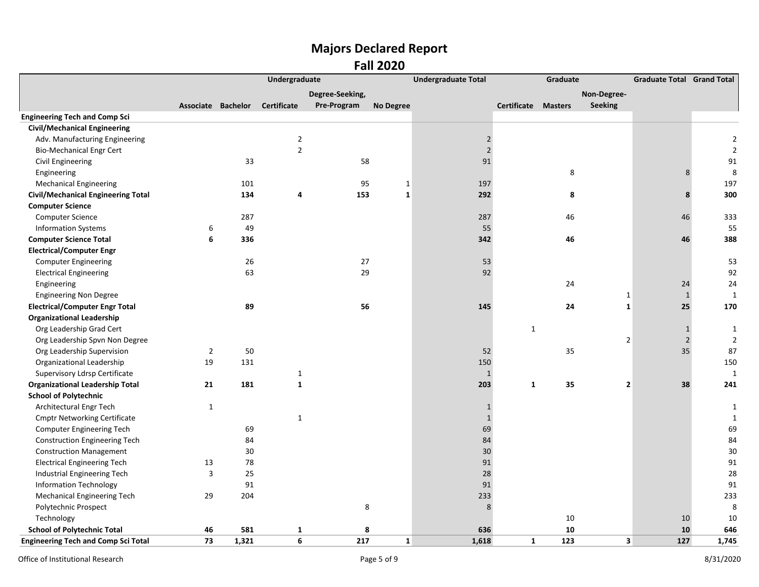|                                            |                    | Undergraduate |                    |                 |                  | <b>Undergraduate Total</b> | Graduate            |                               | <b>Graduate Total Grand Total</b> |                |
|--------------------------------------------|--------------------|---------------|--------------------|-----------------|------------------|----------------------------|---------------------|-------------------------------|-----------------------------------|----------------|
|                                            |                    |               |                    | Degree-Seeking, |                  |                            |                     | Non-Degree-                   |                                   |                |
|                                            | Associate Bachelor |               | <b>Certificate</b> | Pre-Program     | <b>No Degree</b> |                            | Certificate Masters | <b>Seeking</b>                |                                   |                |
| <b>Engineering Tech and Comp Sci</b>       |                    |               |                    |                 |                  |                            |                     |                               |                                   |                |
| <b>Civil/Mechanical Engineering</b>        |                    |               |                    |                 |                  |                            |                     |                               |                                   |                |
| Adv. Manufacturing Engineering             |                    |               | $\mathbf 2$        |                 |                  | $\sqrt{2}$                 |                     |                               |                                   | 2              |
| <b>Bio-Mechanical Engr Cert</b>            |                    |               | $\overline{2}$     |                 |                  | $\overline{2}$             |                     |                               |                                   | $\mathcal{P}$  |
| Civil Engineering                          |                    | 33            |                    | 58              |                  | 91                         |                     |                               |                                   | 91             |
| Engineering                                |                    |               |                    |                 |                  |                            |                     | 8                             | 8                                 | 8              |
| <b>Mechanical Engineering</b>              |                    | 101           |                    | 95              | $\mathbf 1$      | 197                        |                     |                               |                                   | 197            |
| <b>Civil/Mechanical Engineering Total</b>  |                    | 134           | 4                  | 153             | $\mathbf{1}$     | 292                        |                     | 8                             | 8                                 | 300            |
| <b>Computer Science</b>                    |                    |               |                    |                 |                  |                            |                     |                               |                                   |                |
| Computer Science                           |                    | 287           |                    |                 |                  | 287                        |                     | 46                            | 46                                | 333            |
| <b>Information Systems</b>                 | 6                  | 49            |                    |                 |                  | 55                         |                     |                               |                                   | 55             |
| <b>Computer Science Total</b>              | 6                  | 336           |                    |                 |                  | 342                        |                     | 46                            | 46                                | 388            |
| <b>Electrical/Computer Engr</b>            |                    |               |                    |                 |                  |                            |                     |                               |                                   |                |
| <b>Computer Engineering</b>                |                    | 26            |                    | 27              |                  | 53                         |                     |                               |                                   | 53             |
| <b>Electrical Engineering</b>              |                    | 63            |                    | 29              |                  | 92                         |                     |                               |                                   | 92             |
| Engineering                                |                    |               |                    |                 |                  |                            |                     | 24                            | 24                                | 24             |
| <b>Engineering Non Degree</b>              |                    |               |                    |                 |                  |                            |                     | $\mathbf{1}$                  | $\mathbf{1}$                      | $\overline{1}$ |
| <b>Electrical/Computer Engr Total</b>      |                    | 89            |                    | 56              |                  | 145                        |                     | 24<br>$\mathbf{1}$            | 25                                | 170            |
| <b>Organizational Leadership</b>           |                    |               |                    |                 |                  |                            |                     |                               |                                   |                |
| Org Leadership Grad Cert                   |                    |               |                    |                 |                  |                            | $\mathbf{1}$        |                               | $\mathbf{1}$                      | 1              |
| Org Leadership Spvn Non Degree             |                    |               |                    |                 |                  |                            |                     | $\overline{2}$                | $\sqrt{2}$                        | $\overline{2}$ |
| Org Leadership Supervision                 | $\overline{2}$     | 50            |                    |                 |                  | 52                         |                     | 35                            | 35                                | 87             |
| Organizational Leadership                  | 19                 | 131           |                    |                 |                  | 150                        |                     |                               |                                   | 150            |
| Supervisory Ldrsp Certificate              |                    |               | $\mathbf{1}$       |                 |                  | $\mathbf{1}$               |                     |                               |                                   | 1              |
| <b>Organizational Leadership Total</b>     | 21                 | 181           | $\mathbf{1}$       |                 |                  | 203                        | $\mathbf{1}$        | 35<br>$\overline{\mathbf{2}}$ | 38                                | 241            |
| <b>School of Polytechnic</b>               |                    |               |                    |                 |                  |                            |                     |                               |                                   |                |
| Architectural Engr Tech                    | $\mathbf{1}$       |               |                    |                 |                  | $\mathbf{1}$               |                     |                               |                                   | 1              |
| <b>Cmptr Networking Certificate</b>        |                    |               | $\mathbf 1$        |                 |                  | $\mathbf{1}$               |                     |                               |                                   | 1              |
| Computer Engineering Tech                  |                    | 69            |                    |                 |                  | 69                         |                     |                               |                                   | 69             |
| <b>Construction Engineering Tech</b>       |                    | 84            |                    |                 |                  | 84                         |                     |                               |                                   | 84             |
| <b>Construction Management</b>             |                    | 30            |                    |                 |                  | 30                         |                     |                               |                                   | 30             |
| <b>Electrical Engineering Tech</b>         | 13                 | 78            |                    |                 |                  | 91                         |                     |                               |                                   | 91             |
| Industrial Engineering Tech                | 3                  | 25            |                    |                 |                  | 28                         |                     |                               |                                   | 28             |
| <b>Information Technology</b>              |                    | 91            |                    |                 |                  | 91                         |                     |                               |                                   | 91             |
| <b>Mechanical Engineering Tech</b>         | 29                 | 204           |                    |                 |                  | 233                        |                     |                               |                                   | 233            |
| Polytechnic Prospect                       |                    |               |                    | 8               |                  | 8                          |                     |                               |                                   | 8              |
| Technology                                 |                    |               |                    |                 |                  |                            |                     | 10                            | 10                                | 10             |
| <b>School of Polytechnic Total</b>         | 46                 | 581           | $\mathbf 1$        | 8               |                  | 636                        |                     | 10                            | 10                                | 646            |
| <b>Engineering Tech and Comp Sci Total</b> | 73                 | 1,321         | 6                  | 217             | $\mathbf{1}$     | 1,618                      | $\mathbf{1}$        | 123<br>3                      | 127                               | 1,745          |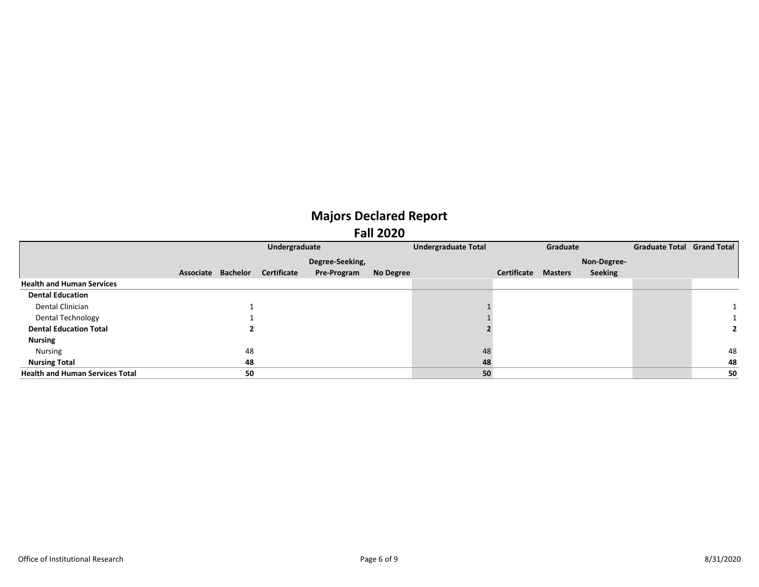|                                        |                    | Undergraduate |                    |           | <b>Undergraduate Total</b> |             | Graduate       |             | Graduate Total Grand Total |    |
|----------------------------------------|--------------------|---------------|--------------------|-----------|----------------------------|-------------|----------------|-------------|----------------------------|----|
|                                        |                    |               | Degree-Seeking,    |           |                            |             |                | Non-Degree- |                            |    |
|                                        | Associate Bachelor | Certificate   | <b>Pre-Program</b> | No Degree |                            | Certificate | <b>Masters</b> | Seeking     |                            |    |
| <b>Health and Human Services</b>       |                    |               |                    |           |                            |             |                |             |                            |    |
| <b>Dental Education</b>                |                    |               |                    |           |                            |             |                |             |                            |    |
| Dental Clinician                       |                    |               |                    |           |                            |             |                |             |                            |    |
| Dental Technology                      |                    |               |                    |           |                            |             |                |             |                            |    |
| <b>Dental Education Total</b>          |                    |               |                    |           |                            |             |                |             |                            |    |
| <b>Nursing</b>                         |                    |               |                    |           |                            |             |                |             |                            |    |
| Nursing                                | 48                 |               |                    |           | 48                         |             |                |             |                            | 48 |
| <b>Nursing Total</b>                   | 48                 |               |                    |           | 48                         |             |                |             |                            | 48 |
| <b>Health and Human Services Total</b> | 50                 |               |                    |           | 50                         |             |                |             |                            | 50 |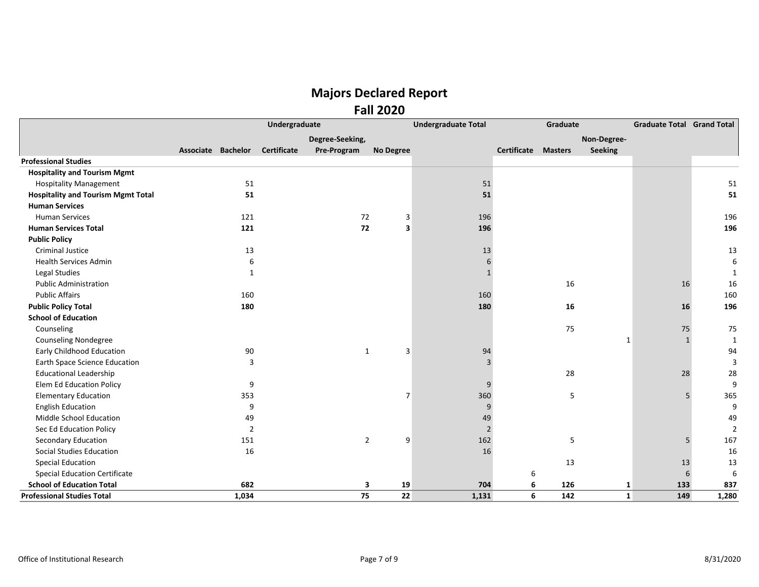|                                           | <b>Undergraduate</b> |                    |                 |                | <b>Undergraduate Total</b><br>Graduate |             |                |                | <b>Graduate Total Grand Total</b> |       |
|-------------------------------------------|----------------------|--------------------|-----------------|----------------|----------------------------------------|-------------|----------------|----------------|-----------------------------------|-------|
|                                           |                      |                    | Degree-Seeking, |                |                                        |             |                | Non-Degree-    |                                   |       |
|                                           | Associate Bachelor   | <b>Certificate</b> | Pre-Program     | No Degree      |                                        | Certificate | <b>Masters</b> | <b>Seeking</b> |                                   |       |
| <b>Professional Studies</b>               |                      |                    |                 |                |                                        |             |                |                |                                   |       |
| <b>Hospitality and Tourism Mgmt</b>       |                      |                    |                 |                |                                        |             |                |                |                                   |       |
| <b>Hospitality Management</b>             | 51                   |                    |                 |                | 51                                     |             |                |                |                                   | 51    |
| <b>Hospitality and Tourism Mgmt Total</b> | 51                   |                    |                 |                | 51                                     |             |                |                |                                   | 51    |
| <b>Human Services</b>                     |                      |                    |                 |                |                                        |             |                |                |                                   |       |
| <b>Human Services</b>                     | 121                  |                    | 72              | $\mathsf 3$    | 196                                    |             |                |                |                                   | 196   |
| <b>Human Services Total</b>               | 121                  |                    | 72              | 3              | 196                                    |             |                |                |                                   | 196   |
| <b>Public Policy</b>                      |                      |                    |                 |                |                                        |             |                |                |                                   |       |
| <b>Criminal Justice</b>                   | 13                   |                    |                 |                | 13                                     |             |                |                |                                   | 13    |
| <b>Health Services Admin</b>              | 6                    |                    |                 |                |                                        |             |                |                |                                   | 6     |
| Legal Studies                             | 1                    |                    |                 |                |                                        |             |                |                |                                   |       |
| <b>Public Administration</b>              |                      |                    |                 |                |                                        |             | 16             |                | 16                                | 16    |
| <b>Public Affairs</b>                     | 160                  |                    |                 |                | 160                                    |             |                |                |                                   | 160   |
| <b>Public Policy Total</b>                | 180                  |                    |                 |                | 180                                    |             | 16             |                | 16                                | 196   |
| <b>School of Education</b>                |                      |                    |                 |                |                                        |             |                |                |                                   |       |
| Counseling                                |                      |                    |                 |                |                                        |             | 75             |                | 75                                | 75    |
| <b>Counseling Nondegree</b>               |                      |                    |                 |                |                                        |             |                | 1              | $\mathbf{1}$                      |       |
| <b>Early Childhood Education</b>          | 90                   |                    | 1               | 3              | 94                                     |             |                |                |                                   | 94    |
| <b>Earth Space Science Education</b>      | 3                    |                    |                 |                |                                        |             |                |                |                                   |       |
| <b>Educational Leadership</b>             |                      |                    |                 |                |                                        |             | 28             |                | 28                                | 28    |
| Elem Ed Education Policy                  | 9                    |                    |                 |                |                                        |             |                |                |                                   | 9     |
| <b>Elementary Education</b>               | 353                  |                    |                 | $\overline{7}$ | 360                                    |             | 5              |                | 5                                 | 365   |
| <b>English Education</b>                  | 9                    |                    |                 |                | 9                                      |             |                |                |                                   | 9     |
| Middle School Education                   | 49                   |                    |                 |                | 49                                     |             |                |                |                                   | 49    |
| Sec Ed Education Policy                   | $\overline{2}$       |                    |                 |                | $\overline{2}$                         |             |                |                |                                   | 2     |
| Secondary Education                       | 151                  |                    | $\overline{2}$  | 9              | 162                                    |             | 5              |                | 5                                 | 167   |
| <b>Social Studies Education</b>           | 16                   |                    |                 |                | 16                                     |             |                |                |                                   | 16    |
| <b>Special Education</b>                  |                      |                    |                 |                |                                        |             | 13             |                | 13                                | 13    |
| <b>Special Education Certificate</b>      |                      |                    |                 |                |                                        | 6           |                |                | 6                                 | 6     |
| <b>School of Education Total</b>          | 682                  |                    | 3               | 19             | 704                                    | 6           | 126            | 1              | 133                               | 837   |
| <b>Professional Studies Total</b>         | 1,034                |                    | 75              | 22             | 1,131                                  | 6           | 142            | $\mathbf{1}$   | 149                               | 1,280 |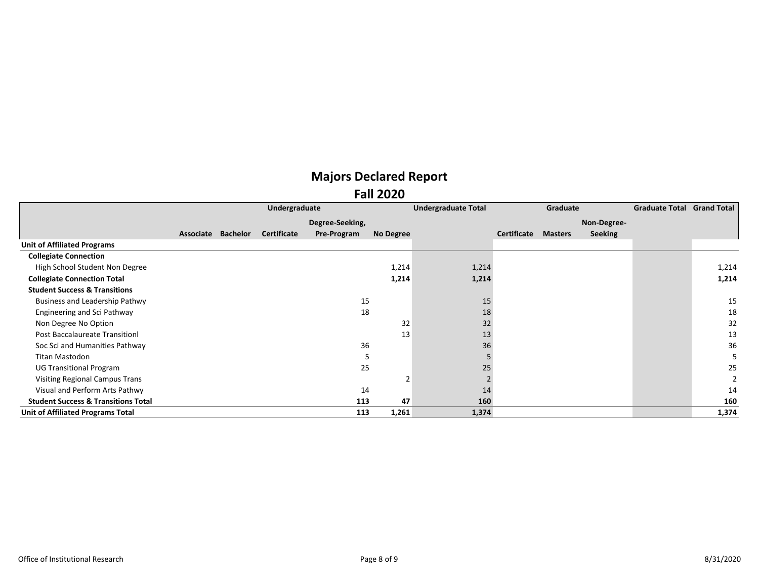|                                                | Undergraduate |          |             |                 |           | <b>Undergraduate Total</b> |             | Graduate       |                | <b>Graduate Total Grand Total</b> |       |
|------------------------------------------------|---------------|----------|-------------|-----------------|-----------|----------------------------|-------------|----------------|----------------|-----------------------------------|-------|
|                                                |               |          |             | Degree-Seeking, |           |                            |             |                | Non-Degree-    |                                   |       |
|                                                | Associate     | Bachelor | Certificate | Pre-Program     | No Degree |                            | Certificate | <b>Masters</b> | <b>Seeking</b> |                                   |       |
| <b>Unit of Affiliated Programs</b>             |               |          |             |                 |           |                            |             |                |                |                                   |       |
| <b>Collegiate Connection</b>                   |               |          |             |                 |           |                            |             |                |                |                                   |       |
| High School Student Non Degree                 |               |          |             |                 | 1,214     | 1,214                      |             |                |                |                                   | 1,214 |
| <b>Collegiate Connection Total</b>             |               |          |             |                 | 1,214     | 1,214                      |             |                |                |                                   | 1,214 |
| <b>Student Success &amp; Transitions</b>       |               |          |             |                 |           |                            |             |                |                |                                   |       |
| Business and Leadership Pathwy                 |               |          |             | 15              |           | 15                         |             |                |                |                                   | 15    |
| Engineering and Sci Pathway                    |               |          |             | 18              |           | 18                         |             |                |                |                                   | 18    |
| Non Degree No Option                           |               |          |             |                 | 32        | 32                         |             |                |                |                                   | 32    |
| Post Baccalaureate Transitionl                 |               |          |             |                 | 13        | 13                         |             |                |                |                                   | 13    |
| Soc Sci and Humanities Pathway                 |               |          |             | 36              |           | 36                         |             |                |                |                                   | 36    |
| Titan Mastodon                                 |               |          |             |                 |           |                            |             |                |                |                                   |       |
| <b>UG Transitional Program</b>                 |               |          |             | 25              |           | 25                         |             |                |                |                                   | 25    |
| <b>Visiting Regional Campus Trans</b>          |               |          |             |                 |           |                            |             |                |                |                                   |       |
| Visual and Perform Arts Pathwy                 |               |          |             | 14              |           | 14                         |             |                |                |                                   | 14    |
| <b>Student Success &amp; Transitions Total</b> |               |          |             | 113             | 47        | 160                        |             |                |                |                                   | 160   |
| Unit of Affiliated Programs Total              |               |          |             | 113             | 1,261     | 1,374                      |             |                |                |                                   | 1,374 |